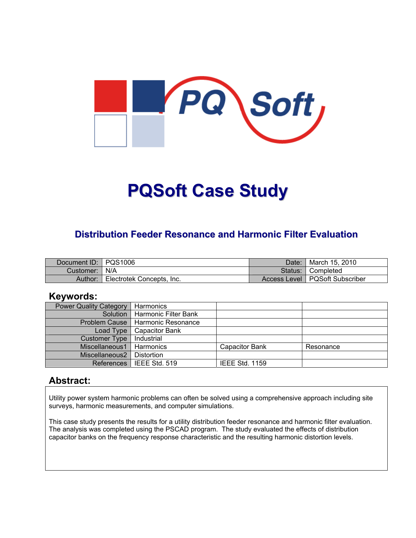

# **PQSoft Case Study**

#### **Distribution Feeder Resonance and Harmonic Filter Evaluation**

| Document ID: PQS1006 |                           | Date:   | <sup>¶</sup> March 15, 2010      |
|----------------------|---------------------------|---------|----------------------------------|
| Customer:   N/A      |                           | Status: | ■ Completed                      |
| Author:              | Electrotek Concepts, Inc. |         | Access Level   PQSoft Subscriber |

#### **Keywords:**

| <b>Power Quality Category</b> | Harmonics             |                       |           |
|-------------------------------|-----------------------|-----------------------|-----------|
| Solution                      | Harmonic Filter Bank  |                       |           |
| Problem Cause                 | Harmonic Resonance    |                       |           |
| Load Type                     | <b>Capacitor Bank</b> |                       |           |
| <b>Customer Type</b>          | Industrial            |                       |           |
| Miscellaneous1                | Harmonics             | <b>Capacitor Bank</b> | Resonance |
| Miscellaneous2                | Distortion            |                       |           |
| <b>References</b>             | IEEE Std. 519         | <b>IEEE Std. 1159</b> |           |

#### **Abstract:**

Utility power system harmonic problems can often be solved using a comprehensive approach including site surveys, harmonic measurements, and computer simulations.

This case study presents the results for a utility distribution feeder resonance and harmonic filter evaluation. The analysis was completed using the PSCAD program. The study evaluated the effects of distribution capacitor banks on the frequency response characteristic and the resulting harmonic distortion levels.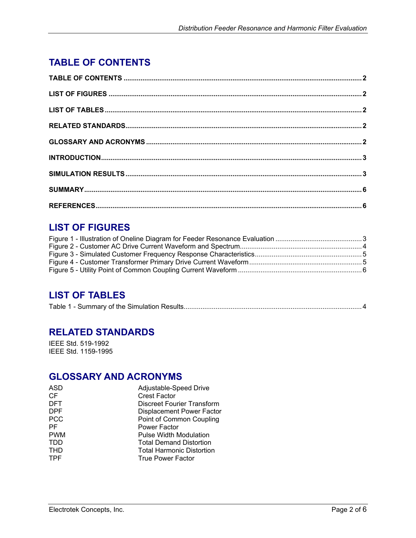# <span id="page-1-0"></span>**TABLE OF CONTENTS**

# **LIST OF FIGURES**

# **LIST OF TABLES**

|--|--|

## **RELATED STANDARDS**

IEEE Std. 519-1992 IEEE Std. 1159-1995

## **GLOSSARY AND ACRONYMS**

| ASD        | Adjustable-Speed Drive           |
|------------|----------------------------------|
| <b>CF</b>  | <b>Crest Factor</b>              |
| <b>DFT</b> | Discreet Fourier Transform       |
| <b>DPF</b> | <b>Displacement Power Factor</b> |
| <b>PCC</b> | Point of Common Coupling         |
| РF         | <b>Power Factor</b>              |
| <b>PWM</b> | <b>Pulse Width Modulation</b>    |
| TDD        | <b>Total Demand Distortion</b>   |
| THD        | <b>Total Harmonic Distortion</b> |
| TPF        | <b>True Power Factor</b>         |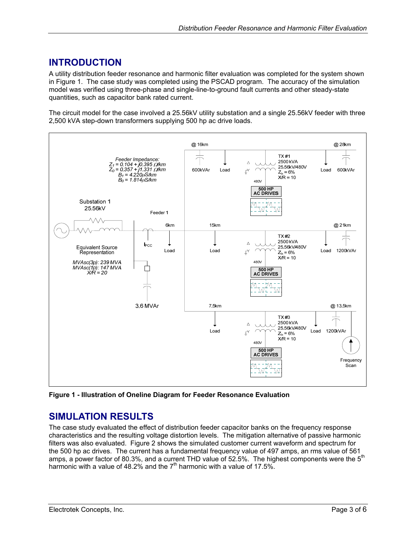## <span id="page-2-0"></span>**INTRODUCTION**

A utility distribution feeder resonance and harmonic filter evaluation was completed for the system shown in [Figure 1.](#page-2-1) The case study was completed using the PSCAD program. The accuracy of the simulation model was verified using three-phase and single-line-to-ground fault currents and other steady-state quantities, such as capacitor bank rated current.

The circuit model for the case involved a 25.56kV utility substation and a single 25.56kV feeder with three 2,500 kVA step-down transformers supplying 500 hp ac drive loads.

<span id="page-2-1"></span>

**Figure 1 - Illustration of Oneline Diagram for Feeder Resonance Evaluation** 

## **SIMULATION RESULTS**

The case study evaluated the effect of distribution feeder capacitor banks on the frequency response characteristics and the resulting voltage distortion levels. The mitigation alternative of passive harmonic filters was also evaluated. [Figure 2](#page-3-1) shows the simulated customer current waveform and spectrum for the 500 hp ac drives. The current has a fundamental frequency value of 497 amps, an rms value of 561 amps, a power factor of 80.3%, and a current THD value of 52.5%. The highest components were the 5<sup>th</sup> harmonic with a value of 48.2% and the  $7<sup>th</sup>$  harmonic with a value of 17.5%.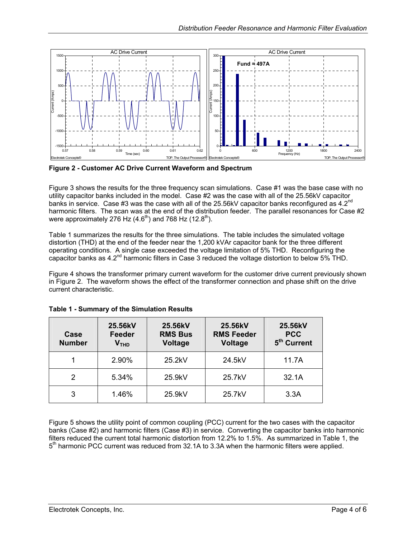<span id="page-3-1"></span><span id="page-3-0"></span>

**Figure 2 - Customer AC Drive Current Waveform and Spectrum** 

[Figure 3](#page-4-1) shows the results for the three frequency scan simulations. Case #1 was the base case with no utility capacitor banks included in the model. Case #2 was the case with all of the 25.56kV capacitor banks in service. Case #3 was the case with all of the 25.56kV capacitor banks reconfigured as 4.2<sup>nd</sup> harmonic filters. The scan was at the end of the distribution feeder. The parallel resonances for Case #2 were approximately 276 Hz  $(4.6<sup>th</sup>)$  and 768 Hz  $(12.8<sup>th</sup>)$ .

[Table 1](#page-3-2) summarizes the results for the three simulations. The table includes the simulated voltage distortion (THD) at the end of the feeder near the 1,200 kVAr capacitor bank for the three different operating conditions. A single case exceeded the voltage limitation of 5% THD. Reconfiguring the capacitor banks as 4.2<sup>nd</sup> harmonic filters in Case 3 reduced the voltage distortion to below 5% THD.

[Figure 4](#page-4-2) shows the transformer primary current waveform for the customer drive current previously shown in [Figure 2.](#page-3-1) The waveform shows the effect of the transformer connection and phase shift on the drive current characteristic.

| Case<br><b>Number</b> | 25.56kV<br>Feeder<br>V <sub>THD</sub> | 25.56kV<br><b>RMS Bus</b><br>Voltage | 25.56kV<br><b>RMS Feeder</b><br>Voltage | 25.56kV<br><b>PCC</b><br>5 <sup>th</sup> Current |
|-----------------------|---------------------------------------|--------------------------------------|-----------------------------------------|--------------------------------------------------|
|                       | 2.90%                                 | 25.2kV                               | 24.5kV                                  | 11.7A                                            |
|                       | 5.34%                                 | 25.9kV                               | 25.7kV                                  | 32.1A                                            |
| 3                     | 1.46%                                 | 25.9kV                               | 25.7kV                                  | 3.3A                                             |

<span id="page-3-2"></span>**Table 1 - Summary of the Simulation Results** 

[Figure 5](#page-5-1) shows the utility point of common coupling (PCC) current for the two cases with the capacitor banks (Case #2) and harmonic filters (Case #3) in service. Converting the capacitor banks into harmonic filters reduced the current total harmonic distortion from 12.2% to 1.5%. As summarized in [Table 1,](#page-3-2) the  $5<sup>th</sup>$  harmonic PCC current was reduced from 32.1A to 3.3A when the harmonic filters were applied.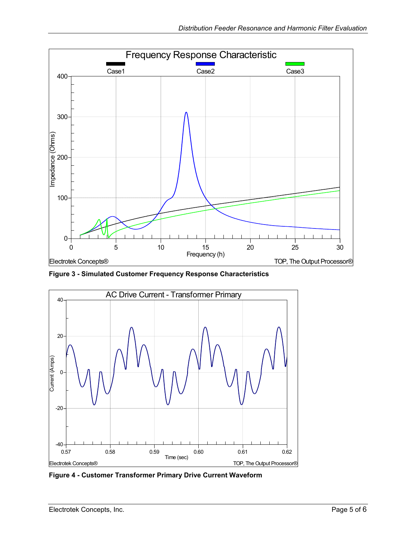<span id="page-4-1"></span><span id="page-4-0"></span>

**Figure 3 - Simulated Customer Frequency Response Characteristics** 

<span id="page-4-2"></span>

**Figure 4 - Customer Transformer Primary Drive Current Waveform**